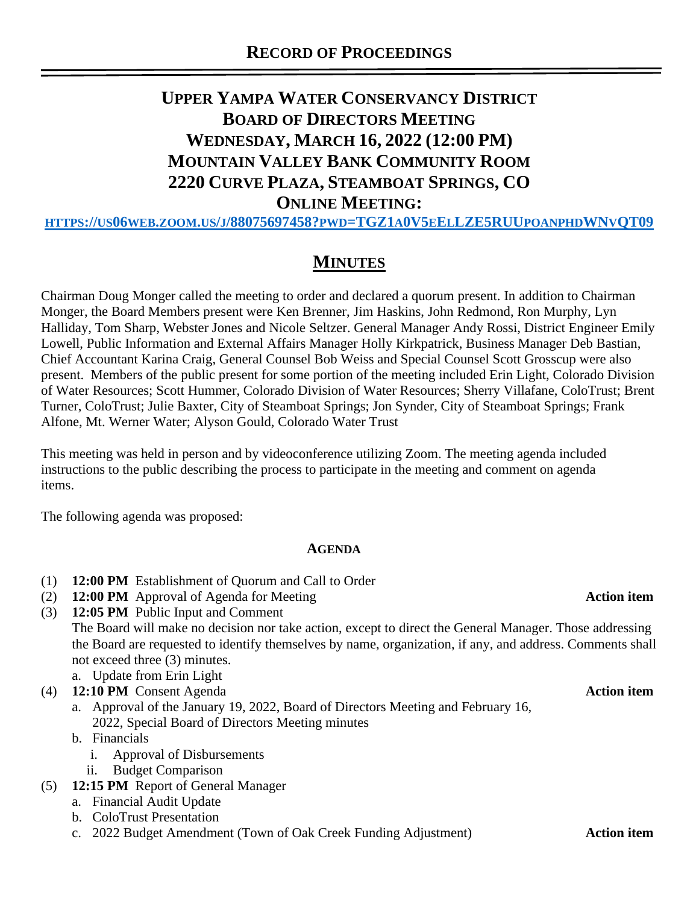# **UPPER YAMPA WATER CONSERVANCY DISTRICT BOARD OF DIRECTORS MEETING WEDNESDAY, MARCH 16, 2022 (12:00 PM) MOUNTAIN VALLEY BANK COMMUNITY ROOM 2220 CURVE PLAZA, STEAMBOAT SPRINGS, CO ONLINE MEETING:**

HTTPS://US06WEB.ZOOM.US/J[/88075697458?](https://us06web.zoom.us/j/88075697458?pwd=TGZ1a0V5eElLZE5RUUpoanphdWNvQT09)PWD=TGZ1A0V5EELLZE5RUUPOANPHDWNVQT09

## **MINUTES**

Chairman Doug Monger called the meeting to order and declared a quorum present. In addition to Chairman Monger, the Board Members present were Ken Brenner, Jim Haskins, John Redmond, Ron Murphy, Lyn Halliday, Tom Sharp, Webster Jones and Nicole Seltzer. General Manager Andy Rossi, District Engineer Emily Lowell, Public Information and External Affairs Manager Holly Kirkpatrick, Business Manager Deb Bastian, Chief Accountant Karina Craig, General Counsel Bob Weiss and Special Counsel Scott Grosscup were also present. Members of the public present for some portion of the meeting included Erin Light, Colorado Division of Water Resources; Scott Hummer, Colorado Division of Water Resources; Sherry Villafane, ColoTrust; Brent Turner, ColoTrust; Julie Baxter, City of Steamboat Springs; Jon Synder, City of Steamboat Springs; Frank Alfone, Mt. Werner Water; Alyson Gould, Colorado Water Trust

This meeting was held in person and by videoconference utilizing Zoom. The meeting agenda included instructions to the public describing the process to participate in the meeting and comment on agenda items.

The following agenda was proposed:

### **AGENDA**

- (1) **12:00 PM** Establishment of Quorum and Call to Order
- (2) **12:00 PM** Approval of Agenda for Meeting **Action item**
- (3) **12:05 PM** Public Input and Comment The Board will make no decision nor take action, except to direct the General Manager. Those addressing the Board are requested to identify themselves by name, organization, if any, and address. Comments shall not exceed three (3) minutes. a. Update from Erin Light
- (4) **12:10 PM** Consent Agenda **Action item**
	- a. Approval of the January 19, 2022, Board of Directors Meeting and February 16, 2022, Special Board of Directors Meeting minutes
	- b. Financials
		- i. Approval of Disbursements
		- ii. Budget Comparison
- (5) **12:15 PM** Report of General Manager
	- a. Financial Audit Update
	- b. ColoTrust Presentation
	- c. 2022 Budget Amendment (Town of Oak Creek Funding Adjustment) **Action item**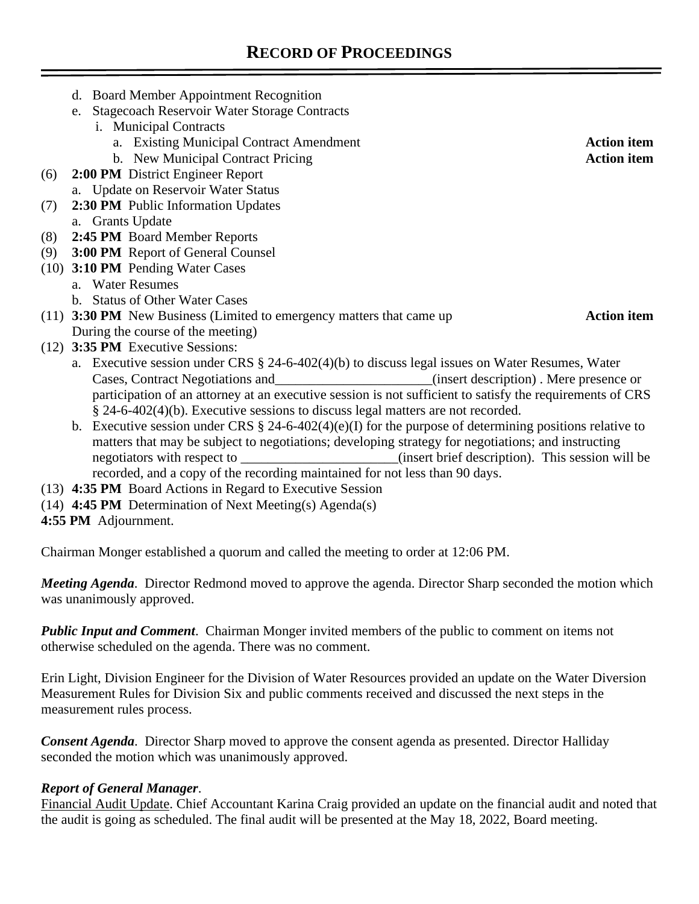- d. Board Member Appointment Recognition
- e. Stagecoach Reservoir Water Storage Contracts
	- i. Municipal Contracts
		- a. Existing Municipal Contract Amendment **Action item**
		- b. New Municipal Contract Pricing **Action item**
- (6) **2:00 PM** District Engineer Report a. Update on Reservoir Water Status
- (7) **2:30 PM** Public Information Updates
- a. Grants Update
- (8) **2:45 PM** Board Member Reports
- (9) **3:00 PM** Report of General Counsel
- (10) **3:10 PM** Pending Water Cases
	- a. Water Resumes
	- b. Status of Other Water Cases

### (11) **3:30 PM** New Business (Limited to emergency matters that came up **Action item** During the course of the meeting)

- (12) **3:35 PM** Executive Sessions:
	- a. Executive session under CRS § 24-6-402(4)(b) to discuss legal issues on Water Resumes, Water Cases, Contract Negotiations and\_\_\_\_\_\_\_\_\_\_\_\_\_\_\_\_\_\_\_\_\_\_\_(insert description) . Mere presence or participation of an attorney at an executive session is not sufficient to satisfy the requirements of CRS § 24-6-402(4)(b). Executive sessions to discuss legal matters are not recorded.
	- b. Executive session under CRS § 24-6-402(4)(e)(I) for the purpose of determining positions relative to matters that may be subject to negotiations; developing strategy for negotiations; and instructing negotiators with respect to \_\_\_\_\_\_\_\_\_\_\_\_\_\_\_\_\_\_\_\_\_\_\_\_\_\_(insert brief description). This session will be recorded, and a copy of the recording maintained for not less than 90 days.
- (13) **4:35 PM** Board Actions in Regard to Executive Session
- (14) **4:45 PM** Determination of Next Meeting(s) Agenda(s)
- **4:55 PM** Adjournment.

Chairman Monger established a quorum and called the meeting to order at 12:06 PM.

*Meeting Agenda*. Director Redmond moved to approve the agenda. Director Sharp seconded the motion which was unanimously approved.

*Public Input and Comment*. Chairman Monger invited members of the public to comment on items not otherwise scheduled on the agenda. There was no comment.

Erin Light, Division Engineer for the Division of Water Resources provided an update on the Water Diversion Measurement Rules for Division Six and public comments received and discussed the next steps in the measurement rules process.

*Consent Agenda*. Director Sharp moved to approve the consent agenda as presented. Director Halliday seconded the motion which was unanimously approved.

### *Report of General Manager*.

Financial Audit Update. Chief Accountant Karina Craig provided an update on the financial audit and noted that the audit is going as scheduled. The final audit will be presented at the May 18, 2022, Board meeting.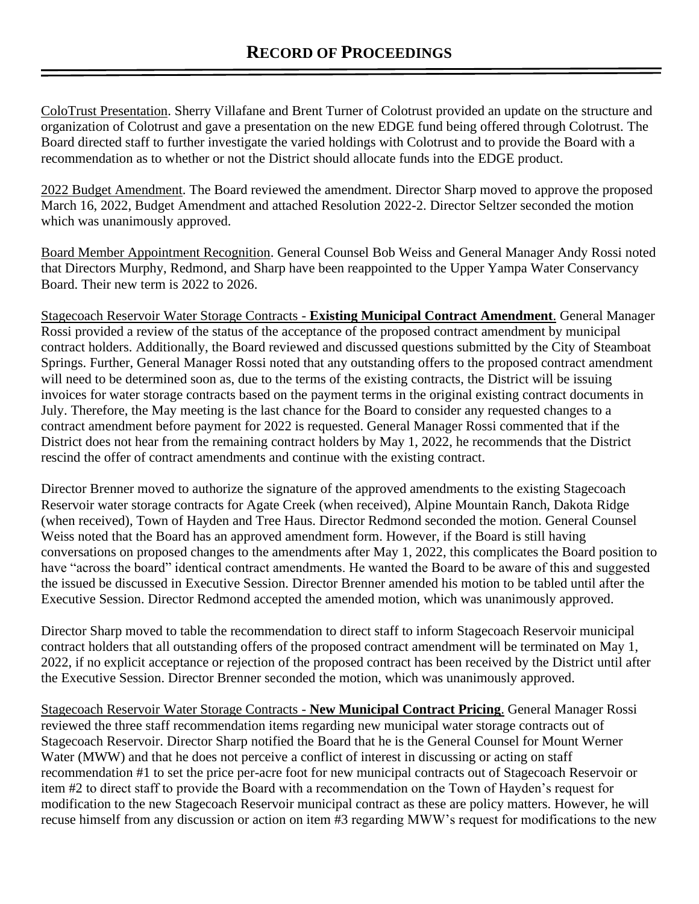ColoTrust Presentation. Sherry Villafane and Brent Turner of Colotrust provided an update on the structure and organization of Colotrust and gave a presentation on the new EDGE fund being offered through Colotrust. The Board directed staff to further investigate the varied holdings with Colotrust and to provide the Board with a recommendation as to whether or not the District should allocate funds into the EDGE product.

2022 Budget Amendment. The Board reviewed the amendment. Director Sharp moved to approve the proposed March 16, 2022, Budget Amendment and attached Resolution 2022-2. Director Seltzer seconded the motion which was unanimously approved.

Board Member Appointment Recognition. General Counsel Bob Weiss and General Manager Andy Rossi noted that Directors Murphy, Redmond, and Sharp have been reappointed to the Upper Yampa Water Conservancy Board. Their new term is 2022 to 2026.

Stagecoach Reservoir Water Storage Contracts - **Existing Municipal Contract Amendment**. General Manager Rossi provided a review of the status of the acceptance of the proposed contract amendment by municipal contract holders. Additionally, the Board reviewed and discussed questions submitted by the City of Steamboat Springs. Further, General Manager Rossi noted that any outstanding offers to the proposed contract amendment will need to be determined soon as, due to the terms of the existing contracts, the District will be issuing invoices for water storage contracts based on the payment terms in the original existing contract documents in July. Therefore, the May meeting is the last chance for the Board to consider any requested changes to a contract amendment before payment for 2022 is requested. General Manager Rossi commented that if the District does not hear from the remaining contract holders by May 1, 2022, he recommends that the District rescind the offer of contract amendments and continue with the existing contract.

Director Brenner moved to authorize the signature of the approved amendments to the existing Stagecoach Reservoir water storage contracts for Agate Creek (when received), Alpine Mountain Ranch, Dakota Ridge (when received), Town of Hayden and Tree Haus. Director Redmond seconded the motion. General Counsel Weiss noted that the Board has an approved amendment form. However, if the Board is still having conversations on proposed changes to the amendments after May 1, 2022, this complicates the Board position to have "across the board" identical contract amendments. He wanted the Board to be aware of this and suggested the issued be discussed in Executive Session. Director Brenner amended his motion to be tabled until after the Executive Session. Director Redmond accepted the amended motion, which was unanimously approved.

Director Sharp moved to table the recommendation to direct staff to inform Stagecoach Reservoir municipal contract holders that all outstanding offers of the proposed contract amendment will be terminated on May 1, 2022, if no explicit acceptance or rejection of the proposed contract has been received by the District until after the Executive Session. Director Brenner seconded the motion, which was unanimously approved.

Stagecoach Reservoir Water Storage Contracts - **New Municipal Contract Pricing**. General Manager Rossi reviewed the three staff recommendation items regarding new municipal water storage contracts out of Stagecoach Reservoir. Director Sharp notified the Board that he is the General Counsel for Mount Werner Water (MWW) and that he does not perceive a conflict of interest in discussing or acting on staff recommendation #1 to set the price per-acre foot for new municipal contracts out of Stagecoach Reservoir or item #2 to direct staff to provide the Board with a recommendation on the Town of Hayden's request for modification to the new Stagecoach Reservoir municipal contract as these are policy matters. However, he will recuse himself from any discussion or action on item #3 regarding MWW's request for modifications to the new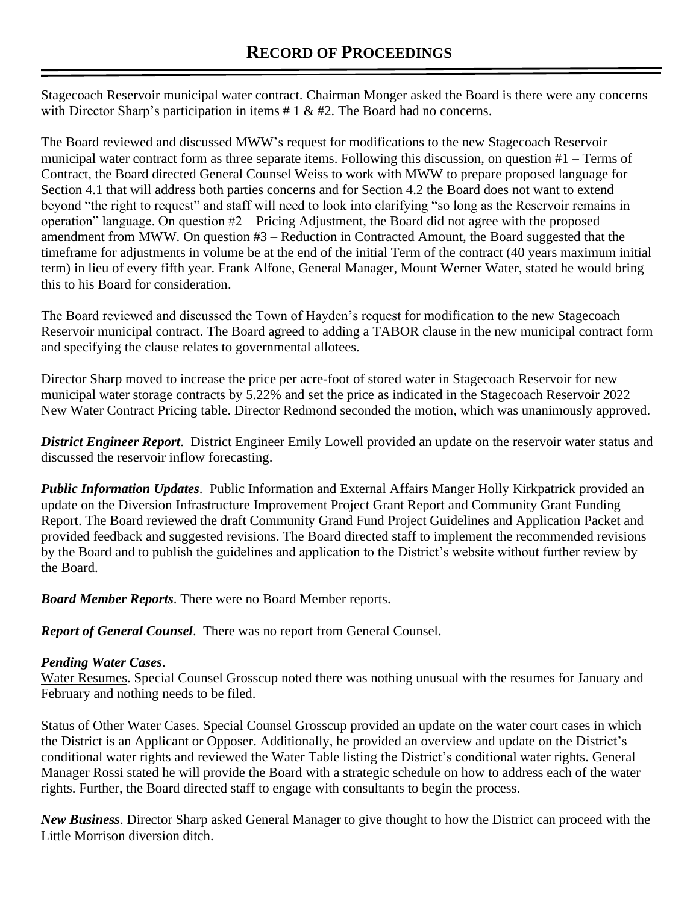Stagecoach Reservoir municipal water contract. Chairman Monger asked the Board is there were any concerns with Director Sharp's participation in items  $# 1 \& #2$ . The Board had no concerns.

The Board reviewed and discussed MWW's request for modifications to the new Stagecoach Reservoir municipal water contract form as three separate items. Following this discussion, on question #1 – Terms of Contract, the Board directed General Counsel Weiss to work with MWW to prepare proposed language for Section 4.1 that will address both parties concerns and for Section 4.2 the Board does not want to extend beyond "the right to request" and staff will need to look into clarifying "so long as the Reservoir remains in operation" language. On question #2 – Pricing Adjustment, the Board did not agree with the proposed amendment from MWW. On question #3 – Reduction in Contracted Amount, the Board suggested that the timeframe for adjustments in volume be at the end of the initial Term of the contract (40 years maximum initial term) in lieu of every fifth year. Frank Alfone, General Manager, Mount Werner Water, stated he would bring this to his Board for consideration.

The Board reviewed and discussed the Town of Hayden's request for modification to the new Stagecoach Reservoir municipal contract. The Board agreed to adding a TABOR clause in the new municipal contract form and specifying the clause relates to governmental allotees.

Director Sharp moved to increase the price per acre-foot of stored water in Stagecoach Reservoir for new municipal water storage contracts by 5.22% and set the price as indicated in the Stagecoach Reservoir 2022 New Water Contract Pricing table. Director Redmond seconded the motion, which was unanimously approved.

*District Engineer Report*. District Engineer Emily Lowell provided an update on the reservoir water status and discussed the reservoir inflow forecasting.

*Public Information Updates*. Public Information and External Affairs Manger Holly Kirkpatrick provided an update on the Diversion Infrastructure Improvement Project Grant Report and Community Grant Funding Report. The Board reviewed the draft Community Grand Fund Project Guidelines and Application Packet and provided feedback and suggested revisions. The Board directed staff to implement the recommended revisions by the Board and to publish the guidelines and application to the District's website without further review by the Board.

*Board Member Reports*. There were no Board Member reports.

*Report of General Counsel*. There was no report from General Counsel.

### *Pending Water Cases*.

Water Resumes. Special Counsel Grosscup noted there was nothing unusual with the resumes for January and February and nothing needs to be filed.

Status of Other Water Cases. Special Counsel Grosscup provided an update on the water court cases in which the District is an Applicant or Opposer. Additionally, he provided an overview and update on the District's conditional water rights and reviewed the Water Table listing the District's conditional water rights. General Manager Rossi stated he will provide the Board with a strategic schedule on how to address each of the water rights. Further, the Board directed staff to engage with consultants to begin the process.

*New Business*. Director Sharp asked General Manager to give thought to how the District can proceed with the Little Morrison diversion ditch.